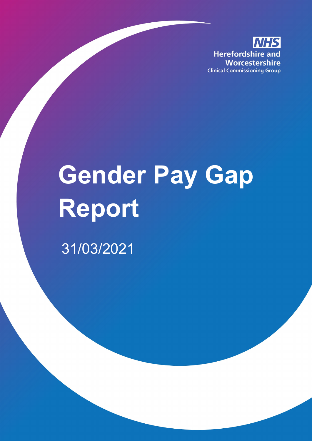**IHS Herefordshire and** Worcestershire **Clinical Commissioning Group** 

# **Gender Pay Gap Report**  31/03/2021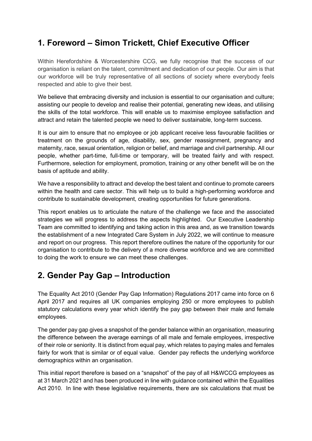# **1. Foreword – Simon Trickett, Chief Executive Officer**

Within Herefordshire & Worcestershire CCG, we fully recognise that the success of our organisation is reliant on the talent, commitment and dedication of our people. Our aim is that our workforce will be truly representative of all sections of society where everybody feels respected and able to give their best.

We believe that embracing diversity and inclusion is essential to our organisation and culture; assisting our people to develop and realise their potential, generating new ideas, and utilising the skills of the total workforce. This will enable us to maximise employee satisfaction and attract and retain the talented people we need to deliver sustainable, long-term success.

It is our aim to ensure that no employee or job applicant receive less favourable facilities or treatment on the grounds of age, disability, sex, gender reassignment, pregnancy and maternity, race, sexual orientation, religion or belief, and marriage and civil partnership. All our people, whether part-time, full-time or temporary, will be treated fairly and with respect. Furthermore, selection for employment, promotion, training or any other benefit will be on the basis of aptitude and ability.

We have a responsibility to attract and develop the best talent and continue to promote careers within the health and care sector. This will help us to build a high-performing workforce and contribute to sustainable development, creating opportunities for future generations.

This report enables us to articulate the nature of the challenge we face and the associated strategies we will progress to address the aspects highlighted. Our Executive Leadership Team are committed to identifying and taking action in this area and, as we transition towards the establishment of a new Integrated Care System in July 2022, we will continue to measure and report on our progress. This report therefore outlines the nature of the opportunity for our organisation to contribute to the delivery of a more diverse workforce and we are committed to doing the work to ensure we can meet these challenges.

# **2. Gender Pay Gap – Introduction**

The Equality Act 2010 (Gender Pay Gap Information) Regulations 2017 came into force on 6 April 2017 and requires all UK companies employing 250 or more employees to publish statutory calculations every year which identify the pay gap between their male and female employees.

The gender pay gap gives a snapshot of the gender balance within an organisation, measuring the difference between the average earnings of all male and female employees, irrespective of their role or seniority. It is distinct from equal pay, which relates to paying males and females fairly for work that is similar or of equal value. Gender pay reflects the underlying workforce demographics within an organisation.

This initial report therefore is based on a "snapshot" of the pay of all H&WCCG employees as at 31 March 2021 and has been produced in line with guidance contained within the Equalities Act 2010. In line with these legislative requirements, there are six calculations that must be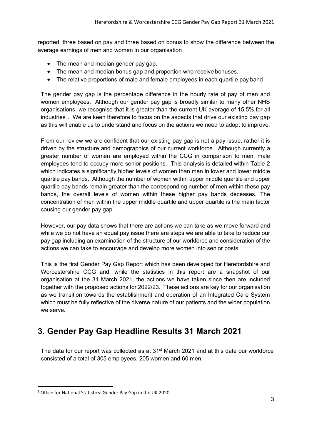reported; three based on pay and three based on bonus to show the difference between the average earnings of men and women in our organisation

- The mean and median gender pay gap.
- The mean and median bonus gap and proportion who receive bonuses.
- The relative proportions of male and female employees in each quartile pay band

The gender pay gap is the percentage difference in the hourly rate of pay of men and women employees. Although our gender pay gap is broadly similar to many other NHS organisations, we recognise that it is greater than the current UK average of 15.5% for all industries<sup>[1](#page-2-0)</sup>. We are keen therefore to focus on the aspects that drive our existing pay gap as this will enable us to understand and focus on the actions we need to adopt to improve.

From our review we are confident that our existing pay gap is not a pay issue, rather it is driven by the structure and demographics of our current workforce. Although currently a greater number of women are employed within the CCG in comparison to men, male employees tend to occupy more senior positions. This analysis is detailed within Table 2 which indicates a significantly higher levels of women than men in lower and lower middle quartile pay bands. Although the number of women within upper middle quartile and upper quartile pay bands remain greater than the corresponding number of men within these pay bands, the overall levels of women within these higher pay bands deceases. The concentration of men within the upper middle quartile and upper quartile is the main factor causing our gender pay gap.

However, our pay data shows that there are actions we can take as we move forward and while we do not have an equal pay issue there are steps we are able to take to reduce our pay gap including an examination of the structure of our workforce and consideration of the actions we can take to encourage and develop more women into senior posts.

This is the first Gender Pay Gap Report which has been developed for Herefordshire and Worcestershire CCG and, while the statistics in this report are a snapshot of our organisation at the 31 March 2021, the actions we have taken since then are included together with the proposed actions for 2022/23. These actions are key for our organisation as we transition towards the establishment and operation of an Integrated Care System which must be fully reflective of the diverse nature of our patients and the wider population we serve.

# **3. Gender Pay Gap Headline Results 31 March 2021**

The data for our report was collected as at  $31<sup>st</sup>$  March 2021 and at this date our workforce consisted of a total of 305 employees, 205 women and 60 men.

<span id="page-2-0"></span><sup>&</sup>lt;sup>1</sup> Office for National Statistics: Gender Pay Gap in the UK 2020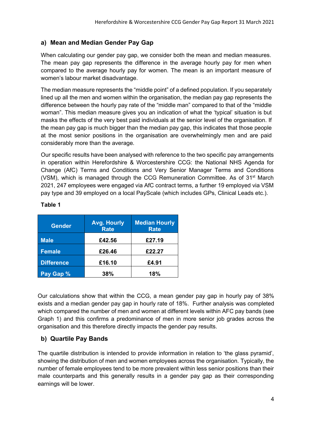#### **a) Mean and Median Gender Pay Gap**

When calculating our gender pay gap, we consider both the mean and median measures. The mean pay gap represents the difference in the average hourly pay for men when compared to the average hourly pay for women. The mean is an important measure of women's labour market disadvantage.

The median measure represents the "middle point" of a defined population. If you separately lined up all the men and women within the organisation, the median pay gap represents the difference between the hourly pay rate of the "middle man" compared to that of the "middle woman". This median measure gives you an indication of what the 'typical' situation is but masks the effects of the very best paid individuals at the senior level of the organisation. If the mean pay gap is much bigger than the median pay gap, this indicates that those people at the most senior positions in the organisation are overwhelmingly men and are paid considerably more than the average.

Our specific results have been analysed with reference to the two specific pay arrangements in operation within Herefordshire & Worcestershire CCG: the National NHS Agenda for Change (AfC) Terms and Conditions and Very Senior Manager Terms and Conditions (VSM), which is managed through the CCG Remuneration Committee. As of  $31<sup>st</sup>$  March 2021, 247 employees were engaged via AfC contract terms, a further 19 employed via VSM pay type and 39 employed on a local PayScale (which includes GPs, Clinical Leads etc.).

| <b>Gender</b>     | <b>Avg. Hourly</b><br><b>Rate</b> | <b>Median Hourly</b><br><b>Rate</b> |
|-------------------|-----------------------------------|-------------------------------------|
| <b>Male</b>       | £42.56                            | £27.19                              |
| Female            | £26.46                            | £22.27                              |
| <b>Difference</b> | £16.10                            | £4.91                               |
| Pay Gap %         | 38%                               | 18%                                 |

#### **Table 1**

Our calculations show that within the CCG, a mean gender pay gap in hourly pay of 38% exists and a median gender pay gap in hourly rate of 18%. Further analysis was completed which compared the number of men and women at different levels within AFC pay bands (see Graph 1) and this confirms a predominance of men in more senior job grades across the organisation and this therefore directly impacts the gender pay results.

## **b) Quartile Pay Bands**

The quartile distribution is intended to provide information in relation to 'the glass pyramid', showing the distribution of men and women employees across the organisation. Typically, the number of female employees tend to be more prevalent within less senior positions than their male counterparts and this generally results in a gender pay gap as their corresponding earnings will be lower.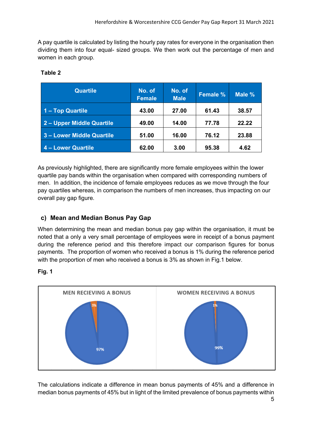A pay quartile is calculated by listing the hourly pay rates for everyone in the organisation then dividing them into four equal- sized groups. We then work out the percentage of men and women in each group.

| <b>Quartile</b>           | No. of<br><b>Female</b> | No. of<br><b>Male</b> | <b>Female %</b> | Male % |
|---------------------------|-------------------------|-----------------------|-----------------|--------|
| 1 - Top Quartile          | 43.00                   | 27.00                 | 61.43           | 38.57  |
| 2- Upper Middle Quartile  | 49.00                   | 14.00                 | 77.78           | 22.22  |
| 3 - Lower Middle Quartile | 51.00                   | 16.00                 | 76.12           | 23.88  |
| 4 - Lower Quartile        | 62.00                   | 3.00                  | 95.38           | 4.62   |

## **Table 2**

As previously highlighted, there are significantly more female employees within the lower quartile pay bands within the organisation when compared with corresponding numbers of men. In addition, the incidence of female employees reduces as we move through the four pay quartiles whereas, in comparison the numbers of men increases, thus impacting on our overall pay gap figure.

## **c) Mean and Median Bonus Pay Gap**

When determining the mean and median bonus pay gap within the organisation, it must be noted that a only a very small percentage of employees were in receipt of a bonus payment during the reference period and this therefore impact our comparison figures for bonus payments. The proportion of women who received a bonus is 1% during the reference period with the proportion of men who received a bonus is 3% as shown in Fig.1 below.

#### **Fig. 1**



The calculations indicate a difference in mean bonus payments of 45% and a difference in median bonus payments of 45% but in light of the limited prevalence of bonus payments within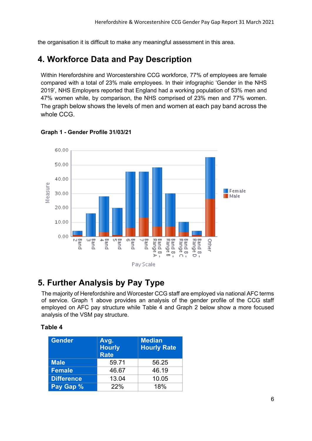the organisation it is difficult to make any meaningful assessment in this area.

## **4. Workforce Data and Pay Description**

Within Herefordshire and Worcestershire CCG workforce, 77% of employees are female compared with a total of 23% male employees. In their infographic 'Gender in the NHS 2019', NHS Employers reported that England had a working population of 53% men and 47% women while, by comparison, the NHS comprised of 23% men and 77% women. The graph below shows the levels of men and women at each pay band across the whole CCG.



#### **Graph 1 - Gender Profile 31/03/21**

## **5. Further Analysis by Pay Type**

The majority of Herefordshire and Worcester CCG staff are employed via national AFC terms of service. Graph 1 above provides an analysis of the gender profile of the CCG staff employed on AFC pay structure while Table 4 and Graph 2 below show a more focused analysis of the VSM pay structure.

#### **Table 4**

| <b>Gender</b>     | Avg.<br><b>Hourly</b><br><b>Rate</b> | <b>Median</b><br><b>Hourly Rate</b> |
|-------------------|--------------------------------------|-------------------------------------|
| <b>Male</b>       | 59.71                                | 56.25                               |
| Female            | 46.67                                | 46.19                               |
| <b>Difference</b> | 13.04                                | 10.05                               |
| Pay Gap %         | 22%                                  | 18%                                 |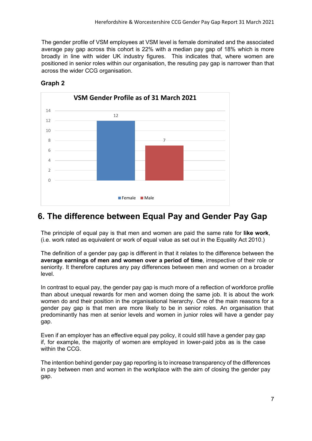The gender profile of VSM employees at VSM level is female dominated and the associated average pay gap across this cohort is 22% with a median pay gap of 18% which is more broadly in line with wider UK industry figures. This indicates that, where women are positioned in senior roles within our organisation, the resuting pay gap is narrower than that across the wider CCG organisation.



### **Graph 2**

## **6. The difference between Equal Pay and Gender Pay Gap**

The principle of equal pay is that men and women are paid the same rate for **like work**, (i.e. work rated as equivalent or work of equal value as set out in the Equality Act 2010.)

The definition of a gender pay gap is different in that it relates to the difference between the **average earnings of men and women over a period of time**, irrespective of their role or seniority. It therefore captures any pay differences between men and women on a broader level.

In contrast to equal pay, the gender pay gap is much more of a reflection of workforce profile than about unequal rewards for men and women doing the same job. It is about the work women do and their position in the organisational hierarchy. One of the main reasons for a gender pay gap is that men are more likely to be in senior roles. An organisation that predominantly has men at senior levels and women in junior roles will have a gender pay gap.

Even if an employer has an effective equal pay policy, it could still have a gender pay gap if, for example, the majority of women are employed in lower-paid jobs as is the case within the CCG

The intention behind gender pay gap reporting is to increase transparency of the differences in pay between men and women in the workplace with the aim of closing the gender pay gap.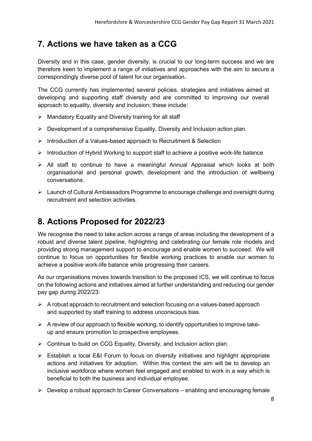# **7. Actions we have taken as a CCG**

Diversity and in this case, gender diversity, is crucial to our long-term success and we are therefore keen to implement a range of initiatives and approaches with the aim to secure a correspondingly diverse pool of talent for our organisation.

The CCG currently has implemented several policies, strategies and initiatives aimed at developing and supporting staff diversity and are committed to improving our overall approach to equality, diversity and inclusion; these include:

- $\triangleright$  Mandatory Equality and Diversity training for all staff
- $\triangleright$  Development of a comprehensive Equality, Diversity and Inclusion action plan.
- $\triangleright$  Introduction of a Values-based approach to Recruitment & Selection
- $\triangleright$  Introduction of Hybrid Working to support staff to achieve a positive work-life balance
- $\triangleright$  All staff to continue to have a meaningful Annual Appraisal which looks at both organisational and personal growth, development and the introduction of wellbeing conversations.
- Launch of Cultural Ambassadors Programme to encourage challenge and oversight during recruitment and selection activities.

# **8. Actions Proposed for 2022/23**

We recognise the need to take action across a range of areas including the development of a robust and diverse talent pipeline, highlighting and celebrating our female role models and providing strong management support to encourage and enable women to succeed. We will continue to focus on opportunities for flexible working practices to enable our women to achieve a positive work-life balance while progressing their careers.

As our organisations moves towards transition to the proposed ICS, we will continue to focus on the following actions and initiatives aimed at further understanding and reducing our gender pay gap during 2022/23:

- $\triangleright$  A robust approach to recruitment and selection focusing on a values-based approach and supported by staff training to address unconscious bias.
- $\triangleright$  A review of our approach to flexible working, to identify opportunities to improve takeup and ensure promotion to prospective employees.
- $\triangleright$  Continue to build on CCG Equality, Diversity, and Inclusion action plan.
- $\triangleright$  Establish a local E&I Forum to focus on diversity initiatives and highlight appropriate actions and initiatives for adoption. Within this context the aim will be to develop an inclusive workforce where women feel engaged and enabled to work in a way which is beneficial to both the business and individual employee.
- $\triangleright$  Develop a robust approach to Career Conversations enabling and encouraging female